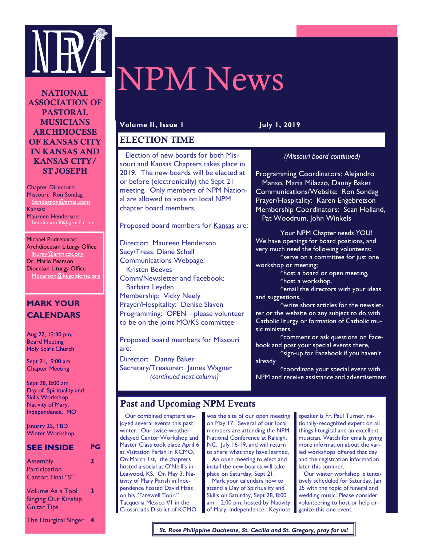

#### NATIONAL ASSOCIATION OF PASTORAL MUSICIANS ARCHDIOCESE OF KANSAS CITY IN KANSAS AND KANSAS CITY/ ST JOSEPH

Chapter Directors: Missouri: Ron Sondag Sondagron@gmail.com Kansas: Maureen Henderson: henderson50 $@$ omail.com

Michael Podrebarac: Archdiocesan Liturgy Office liturgy@archkck.org Dr. Mario Pearson Diocesan Liturgy Office Mpearson@kcgoldome.org

# **MARK YOUR CALENDARS**

Aug 22, 12:30 pm, Board Meeting Holy Spirit Church

Sept 21, 9:00 am Chapter Meeting

Sept 28, 8:00 am Day of Spirituality and Skills Workshop Nativity of Mary, Independence, MO

January 25, TBD Winter Workshop

#### **SEE INSIDE PG**

|                                                  | 3 |
|--------------------------------------------------|---|
| Cantor: Final "S"<br><b>Volume As a Tool</b>     |   |
| <b>Singing Our Kinship</b><br><b>Guitar Tips</b> |   |

The Liturgical Singer **4**

# NPM News

#### **Volume II, Issue 1 July 1, 2019**

#### ELECTION TIME

 Election of new boards for both Missouri and Kansas Chapters takes place in 2019. The new boards will be elected at or before (electronically) the Sept 21 meeting. Only members of NPM National are allowed to vote on local NPM chapter board members.

Proposed board members for Kansas are:

Director: Maureen Henderson Secy/Treas: Diane Schell Communications Webpage: Kristen Beeves Comm/Newsletter and Facebook: Barbara Leyden Membership: Vicky Neely Prayer/Hospitality: Denise Slaven Programming: OPEN—please volunteer to be on the joint MO/KS committee

Proposed board members for Missouri are:

Director: Danny Baker Secretary/Treasurer: James Wagner *(continued next column)*

#### *(Missouri board continued)*

Programming Coordinators: Alejandro Manso, Maria Milazzo, Danny Baker Communications/Website: Ron Sondag Prayer/Hospitality: Karen Engebretson Membership Coordinators: Sean Holland, Pat Woodrum, John Winkels

Your NPM Chapter needs YOU! We have openings for board positions, and very much need the following volunteers:

\*serve on a committee for just one workshop or meeting;

\*host a board or open meeting, \*host a workshop,

\*email the directors with your ideas and suggestions,

\*write short articles for the newsletter or the website on any subject to do with Catholic liturgy or formation of Catholic music ministers,

\*comment or ask questions on Facebook and post your special events there,

\*sign-up for Facebook if you haven't already

\*coordinate your special event with NPM and receive assistance and advertisement

# Past and Upcoming NPM Events

 Our combined chapters enjoyed several events this past winter. Our twice-weatherdelayed Cantor Workshop and Master Class took place April 6 at Visitation Parish in KCMO. On March 1st, the chapters hosted a social at O'Neill's in Leawood, KS. On May 3, Nativity of Mary Parish in Independence hosted David Haas on his "Farewell Tour." Tacqueria Mexico #1 in the Crossroads District of KCMO

was the site of our open meeting on May 17. Several of our local members are attending the NPM National Conference at Raleigh, NC, July 16-19, and will return to share what they have learned. An open meeting to elect and install the new boards will take place on Saturday, Sept 21.

 Mark your calendars now to attend a Day of Spirituality and Skills on Saturday, Sept 28, 8:00 am – 2:00 pm, hosted by Nativity of Mary, Independence. Keynote speaker is Fr. Paul Turner, nationally-recognized expert on all things liturgical and an excellent musician. Watch for emails giving more information about the varied workshops offered that day and the registration information later this summer.

 Our winter workshop is tentatively scheduled for Saturday, Jan 25 with the topic of funeral and wedding music. Please consider volunteering to host or help organize this one event.

*St. Rose Philippine Duchesne, St. Cecilia and St. Gregory, pray for us!*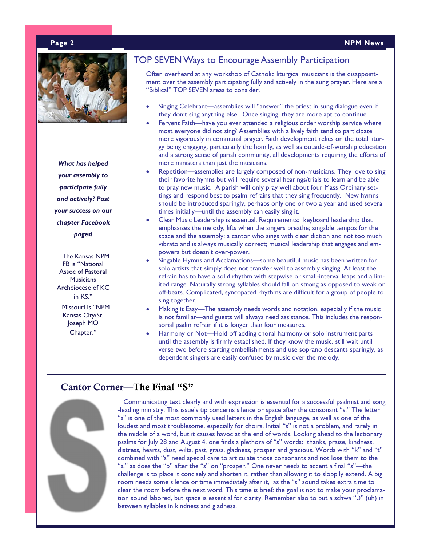

*What has helped your assembly to participate fully and actively? Post your success on our chapter Facebook pages!*

 The Kansas NPM FB is "National Assoc of Pastoral **Musicians** Archdiocese of KC in KS."

 Missouri is "NPM Kansas City/St. Joseph MO Chapter."

# TOP SEVEN Ways to Encourage Assembly Participation

Often overheard at any workshop of Catholic liturgical musicians is the disappointment over the assembly participating fully and actively in the sung prayer. Here are a "Biblical" TOP SEVEN areas to consider.

- Singing Celebrant—assemblies will "answer" the priest in sung dialogue even if they don't sing anything else. Once singing, they are more apt to continue.
- Fervent Faith—have you ever attended a religious order worship service where most everyone did not sing? Assemblies with a lively faith tend to participate more vigorously in communal prayer. Faith development relies on the total liturgy being engaging, particularly the homily, as well as outside-of-worship education and a strong sense of parish community, all developments requiring the efforts of more ministers than just the musicians.
- Repetition—assemblies are largely composed of non-musicians. They love to sing their favorite hymns but will require several hearings/trials to learn and be able to pray new music. A parish will only pray well about four Mass Ordinary settings and respond best to psalm refrains that they sing frequently. New hymns should be introduced sparingly, perhaps only one or two a year and used several times initially—until the assembly can easily sing it.
- Clear Music Leadership is essential. Requirements: keyboard leadership that emphasizes the melody, lifts when the singers breathe; singable tempos for the space and the assembly; a cantor who sings with clear diction and not too much vibrato and is always musically correct; musical leadership that engages and empowers but doesn't over-power.
- Singable Hymns and Acclamations—some beautiful music has been written for solo artists that simply does not transfer well to assembly singing. At least the refrain has to have a solid rhythm with stepwise or small-interval leaps and a limited range. Naturally strong syllables should fall on strong as opposed to weak or off-beats. Complicated, syncopated rhythms are difficult for a group of people to sing together.
- Making it Easy—The assembly needs words and notation, especially if the music is not familiar—and guests will always need assistance. This includes the responsorial psalm refrain if it is longer than four measures.
- Harmony or Not—Hold off adding choral harmony or solo instrument parts until the assembly is firmly established. If they know the music, still wait until verse two before starting embellishments and use soprano descants sparingly, as dependent singers are easily confused by music over the melody.

# Cantor Corner—The Final "S"



 Communicating text clearly and with expression is essential for a successful psalmist and song -leading ministry. This issue's tip concerns silence or space after the consonant "s." The letter "s" is one of the most commonly used letters in the English language, as well as one of the loudest and most troublesome, especially for choirs. Initial "s" is not a problem, and rarely in the middle of a word, but it causes havoc at the end of words. Looking ahead to the lectionary psalms for July 28 and August 4, one finds a plethora of "s" words: thanks, praise, kindness, distress, hearts, dust, wilts, past, grass, gladness, prosper and gracious. Words with "k" and "t" combined with "s" need special care to articulate those consonants and not lose them to the "s," as does the "p" after the "s" on "prosper." One never needs to accent a final "s"—the challenge is to place it concisely and shorten it, rather than allowing it to sloppily extend. A big room needs some silence or time immediately after it, as the "s" sound takes extra time to clear the room before the next word. This time is brief: the goal is not to make your proclamation sound labored, but space is essential for clarity. Remember also to put a schwa "Ə" (uh) in between syllables in kindness and gladness.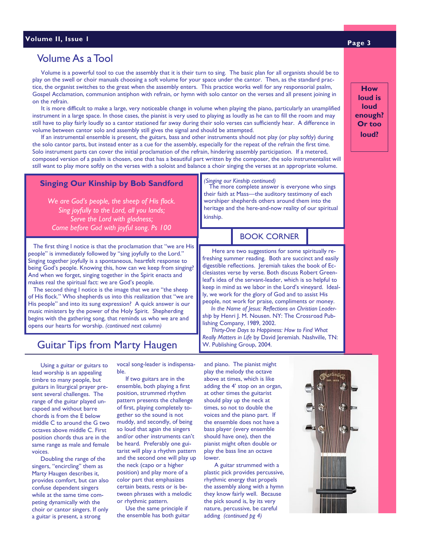# Volume As a Tool

 Volume is a powerful tool to cue the assembly that it is their turn to sing. The basic plan for all organists should be to play on the swell or choir manuals choosing a soft volume for your space under the cantor. Then, as the standard practice, the organist switches to the great when the assembly enters. This practice works well for any responsorial psalm, Gospel Acclamation, communion antiphon with refrain, or hymn with solo cantor on the verses and all present joining in on the refrain.

 It is more difficult to make a large, very noticeable change in volume when playing the piano, particularly an unamplified instrument in a large space. In those cases, the pianist is very used to playing as loudly as he can to fill the room and may still have to play fairly loudly so a cantor stationed far away during their solo verses can sufficiently hear. A difference in volume between cantor solo and assembly still gives the signal and should be attempted.

 If an instrumental ensemble is present, the guitars, bass and other instruments should not play (or play softly) during the solo cantor parts, but instead enter as a cue for the assembly, especially for the repeat of the refrain the first time. Solo instrument parts can cover the initial proclamation of the refrain, hindering assembly participation. If a metered, composed version of a psalm is chosen, one that has a beautiful part written by the composer, the solo instrumentalist will still want to play more softly on the verses with a soloist and balance a choir singing the verses at an appropriate volume.

#### **Singing Our Kinship by Bob Sandford**

*We are God's people, the sheep of His flock. Sing joyfully to the Lord, all you lands; Serve the Lord with gladness; Come before God with joyful song. Ps 100*

people" is immediately followed by "sing joyfully to the Lord." The first thing I notice is that the proclamation that "we are His Singing together joyfully is a spontaneous, heartfelt response to being God's people. Knowing this, how can we keep from singing? And when we forget, singing together in the Spirit enacts and makes real the spiritual fact: we are God's people.

 The second thing I notice is the image that we are "the sheep of His flock." Who shepherds us into this realization that "we are His people" and into its sung expression? A quick answer is our music ministers by the power of the Holy Spirit. Shepherding begins with the gathering song, that reminds us who we are and opens our hearts for worship. *(continued next column)*

# Guitar Tips from Marty Haugen

 Using a guitar or guitars to lead worship is an appealing timbre to many people, but guitars in liturgical prayer present several challenges. The range of the guitar played uncapoed and without barre chords is from the E below middle C to around the G two octaves above middle C. First position chords thus are in the same range as male and female voices.

 Doubling the range of the singers, "encircling" them as Marty Haugen describes it, provides comfort, but can also confuse dependent singers while at the same time competing dynamically with the choir or cantor singers. If only a guitar is present, a strong

vocal song-leader is indispensable.

 If two guitars are in the ensemble, both playing a first position, strummed rhythm pattern presents the challenge of first, playing completely together so the sound is not muddy, and secondly, of being so loud that again the singers and/or other instruments can't be heard. Preferably one guitarist will play a rhythm pattern and the second one will play up the neck (capo or a higher position) and play more of a color part that emphasizes certain beats, rests or is between phrases with a melodic or rhythmic pattern.

 Use the same principle if the ensemble has both guitar and piano. The pianist might play the melody the octave above at times, which is like adding the 4' stop on an organ, at other times the guitarist should play up the neck at times, so not to double the voices and the piano part. If the ensemble does not have a bass player (every ensemble should have one), then the pianist might often double or play the bass line an octave lower.

 A guitar strummed with a plastic pick provides percussive, rhythmic energy that propels the assembly along with a hymn they know fairly well. Because the pick sound is, by its very nature, percussive, be careful adding *(continued pg 4)*

**How loud is loud enough?** 

> **Or too loud?**

*(Singing our Kinship continued)* 

The more complete answer is everyone who sings their faith at Mass—the auditory testimony of each worshiper shepherds others around them into the heritage and the here-and-now reality of our spiritual kinship.

# BOOK CORNER

 Here are two suggestions for some spiritually refreshing summer reading. Both are succinct and easily digestible reflections. Jeremiah takes the book of Ecclesiastes verse by verse. Both discuss Robert Greenleaf's idea of the servant-leader, which is so helpful to keep in mind as we labor in the Lord's vineyard. Ideally, we work for the glory of God and to assist His people, not work for praise, compliments or money.

 *In the Name of Jesus: Reflections on Christian Leadership* by Henri J. M. Nousen. NY: The Crossroad Publishing Company, 1989, 2002.

 *Thirty-One Days to Happiness: How to Find What Really Matters in Life* by David Jeremiah. Nashville, TN: W. Publishing Group, 2004.